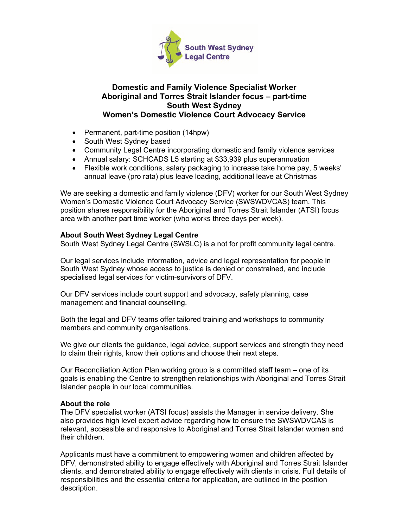

# **Domestic and Family Violence Specialist Worker Aboriginal and Torres Strait Islander focus – part-time South West Sydney Women's Domestic Violence Court Advocacy Service**

- Permanent, part-time position (14hpw)
- South West Sydney based
- Community Legal Centre incorporating domestic and family violence services
- Annual salary: SCHCADS L5 starting at \$33,939 plus superannuation
- Flexible work conditions, salary packaging to increase take home pay, 5 weeks' annual leave (pro rata) plus leave loading, additional leave at Christmas

We are seeking a domestic and family violence (DFV) worker for our South West Sydney Women's Domestic Violence Court Advocacy Service (SWSWDVCAS) team. This position shares responsibility for the Aboriginal and Torres Strait Islander (ATSI) focus area with another part time worker (who works three days per week).

# **About South West Sydney Legal Centre**

South West Sydney Legal Centre (SWSLC) is a not for profit community legal centre.

Our legal services include information, advice and legal representation for people in South West Sydney whose access to justice is denied or constrained, and include specialised legal services for victim-survivors of DFV.

Our DFV services include court support and advocacy, safety planning, case management and financial counselling.

Both the legal and DFV teams offer tailored training and workshops to community members and community organisations.

We give our clients the guidance, legal advice, support services and strength they need to claim their rights, know their options and choose their next steps.

Our Reconciliation Action Plan working group is a committed staff team – one of its goals is enabling the Centre to strengthen relationships with Aboriginal and Torres Strait Islander people in our local communities.

## **About the role**

The DFV specialist worker (ATSI focus) assists the Manager in service delivery. She also provides high level expert advice regarding how to ensure the SWSWDVCAS is relevant, accessible and responsive to Aboriginal and Torres Strait Islander women and their children.

Applicants must have a commitment to empowering women and children affected by DFV, demonstrated ability to engage effectively with Aboriginal and Torres Strait Islander clients, and demonstrated ability to engage effectively with clients in crisis. Full details of responsibilities and the essential criteria for application, are outlined in the position description.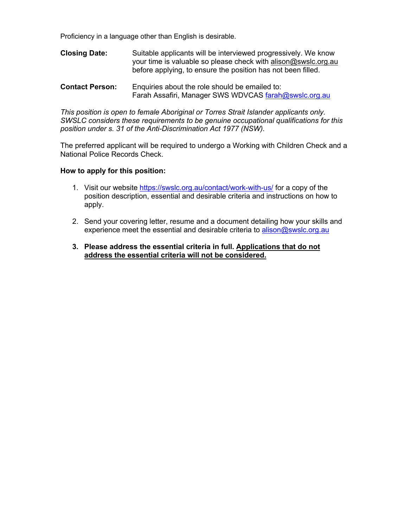Proficiency in a language other than English is desirable.

- **Closing Date:** Suitable applicants will be interviewed progressively. We know your time is valuable so please check with alison@swslc.org.au before applying, to ensure the position has not been filled.
- **Contact Person:** Enquiries about the role should be emailed to: Farah Assafiri, Manager SWS WDVCAS farah@swslc.org.au

*This position is open to female Aboriginal or Torres Strait Islander applicants only. SWSLC considers these requirements to be genuine occupational qualifications for this position under s. 31 of the Anti-Discrimination Act 1977 (NSW).*

The preferred applicant will be required to undergo a Working with Children Check and a National Police Records Check.

### **How to apply for this position:**

- 1. Visit our website https://swslc.org.au/contact/work-with-us/ for a copy of the position description, essential and desirable criteria and instructions on how to apply.
- 2. Send your covering letter, resume and a document detailing how your skills and experience meet the essential and desirable criteria to alison@swslc.org.au
- **3. Please address the essential criteria in full. Applications that do not address the essential criteria will not be considered.**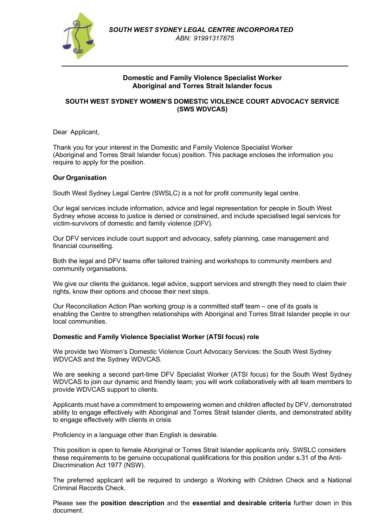

## **Domestic and Family Violence Specialist Worker Aboriginal and Torres Strait Islander focus**

## **SOUTH WEST SYDNEY WOMEN'S DOMESTIC VIOLENCE COURT ADVOCACY SERVICE (SWS WDVCAS)**

Dear Applicant,

Thank you for your interest in the Domestic and Family Violence Specialist Worker (Aboriginal and Torres Strait Islander focus) position. This package encloses the information you require to apply for the position.

## **Our Organisation**

South West Sydney Legal Centre (SWSLC) is a not for profit community legal centre.

Our legal services include information, advice and legal representation for people in South West Sydney whose access to justice is denied or constrained, and include specialised legal services for victim-survivors of domestic and family violence (DFV).

Our DFV services include court support and advocacy, safety planning, case management and financial counselling.

Both the legal and DFV teams offer tailored training and workshops to community members and community organisations.

We give our clients the guidance, legal advice, support services and strength they need to claim their rights, know their options and choose their next steps.

Our Reconciliation Action Plan working group is a committed staff team – one of its goals is enabling the Centre to strengthen relationships with Aboriginal and Torres Strait Islander people in our local communities.

### **Domestic and Family Violence Specialist Worker (ATSI focus) role**

We provide two Women's Domestic Violence Court Advocacy Services: the South West Sydney WDVCAS and the Sydney WDVCAS.

We are seeking a second part-time DFV Specialist Worker (ATSI focus) for the South West Sydney WDVCAS to join our dynamic and friendly team; you will work collaboratively with all team members to provide WDVCAS support to clients.

Applicants must have a commitment to empowering women and children affected by DFV, demonstrated ability to engage effectively with Aboriginal and Torres Strait Islander clients, and demonstrated ability to engage effectively with clients in crisis

Proficiency in a language other than English is desirable.

This position is open to female Aboriginal or Torres Strait Islander applicants only. SWSLC considers these requirements to be genuine occupational qualifications for this position under s.31 of the Anti-Discrimination Act 1977 (NSW).

The preferred applicant will be required to undergo a Working with Children Check and a National Criminal Records Check.

Please see the **position description** and the **essential and desirable criteria** further down in this document.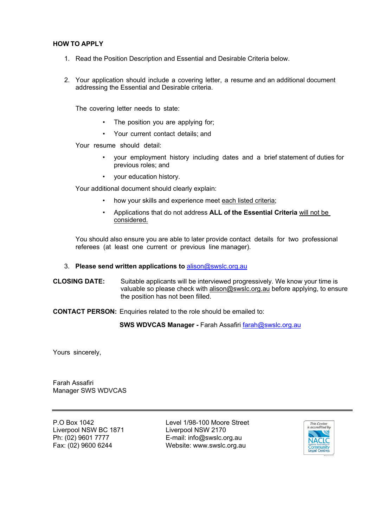## **HOW TO APPLY**

- 1. Read the Position Description and Essential and Desirable Criteria below.
- 2. Your application should include a covering letter, a resume and an additional document addressing the Essential and Desirable criteria.

The covering letter needs to state:

- The position you are applying for;
- Your current contact details; and

Your resume should detail:

- your employment history including dates and a brief statement of duties for previous roles; and
- your education history.

Your additional document should clearly explain:

- how your skills and experience meet each listed criteria;
- Applications that do not address **ALL of the Essential Criteria** will not be considered.

You should also ensure you are able to later provide contact details for two professional referees (at least one current or previous line manager).

### 3. **Please send written applications to** alison@swslc.org.au

**CLOSING DATE:** Suitable applicants will be interviewed progressively. We know your time is valuable so please check with alison@swslc.org.au before applying, to ensure the position has not been filled.

### **CONTACT PERSON:** Enquiries related to the role should be emailed to:

**SWS WDVCAS Manager -** Farah Assafiri farah@swslc.org.au

Yours sincerely,

Farah Assafiri Manager SWS WDVCAS

Liverpool NSW BC 1871 Liverpool NSW 2170

P.O Box 1042 Level 1/98-100 Moore Street Ph: (02) 9601 7777 E-mail: info@swslc.org.au Fax: (02) 9600 6244 Website: www.swslc.org.au

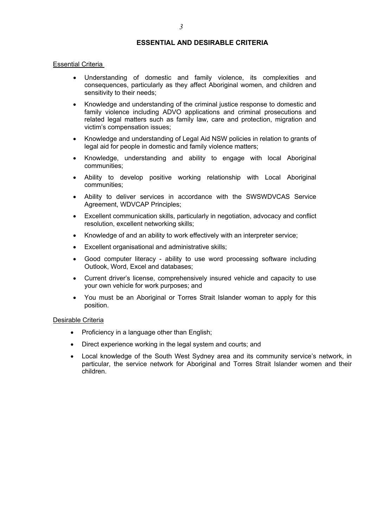## **ESSENTIAL AND DESIRABLE CRITERIA**

#### **Essential Criteria**

- Understanding of domestic and family violence, its complexities and consequences, particularly as they affect Aboriginal women, and children and sensitivity to their needs;
- Knowledge and understanding of the criminal justice response to domestic and family violence including ADVO applications and criminal prosecutions and related legal matters such as family law, care and protection, migration and victim's compensation issues;
- Knowledge and understanding of Legal Aid NSW policies in relation to grants of legal aid for people in domestic and family violence matters;
- Knowledge, understanding and ability to engage with local Aboriginal communities;
- Ability to develop positive working relationship with Local Aboriginal communities;
- Ability to deliver services in accordance with the SWSWDVCAS Service Agreement, WDVCAP Principles;
- Excellent communication skills, particularly in negotiation, advocacy and conflict resolution, excellent networking skills;
- Knowledge of and an ability to work effectively with an interpreter service;
- Excellent organisational and administrative skills;
- Good computer literacy ability to use word processing software including Outlook, Word, Excel and databases;
- Current driver's license, comprehensively insured vehicle and capacity to use your own vehicle for work purposes; and
- You must be an Aboriginal or Torres Strait Islander woman to apply for this position.

#### Desirable Criteria

- Proficiency in a language other than English;
- Direct experience working in the legal system and courts; and
- Local knowledge of the South West Sydney area and its community service's network, in particular, the service network for Aboriginal and Torres Strait Islander women and their children.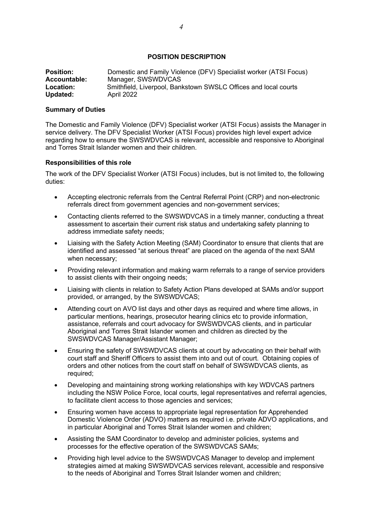## **POSITION DESCRIPTION**

| <b>Position:</b> | Domestic and Family Violence (DFV) Specialist worker (ATSI Focus) |
|------------------|-------------------------------------------------------------------|
| Accountable:     | Manager, SWSWDVCAS                                                |
| Location:        | Smithfield, Liverpool, Bankstown SWSLC Offices and local courts   |
| Updated:         | April 2022                                                        |

#### **Summary of Duties**

The Domestic and Family Violence (DFV) Specialist worker (ATSI Focus) assists the Manager in service delivery. The DFV Specialist Worker (ATSI Focus) provides high level expert advice regarding how to ensure the SWSWDVCAS is relevant, accessible and responsive to Aboriginal and Torres Strait Islander women and their children.

#### **Responsibilities of this role**

The work of the DFV Specialist Worker (ATSI Focus) includes, but is not limited to, the following duties:

- Accepting electronic referrals from the Central Referral Point (CRP) and non-electronic referrals direct from government agencies and non-government services;
- Contacting clients referred to the SWSWDVCAS in a timely manner, conducting a threat assessment to ascertain their current risk status and undertaking safety planning to address immediate safety needs;
- Liaising with the Safety Action Meeting (SAM) Coordinator to ensure that clients that are identified and assessed "at serious threat" are placed on the agenda of the next SAM when necessary;
- Providing relevant information and making warm referrals to a range of service providers to assist clients with their ongoing needs;
- Liaising with clients in relation to Safety Action Plans developed at SAMs and/or support provided, or arranged, by the SWSWDVCAS;
- Attending court on AVO list days and other days as required and where time allows, in particular mentions, hearings, prosecutor hearing clinics etc to provide information, assistance, referrals and court advocacy for SWSWDVCAS clients, and in particular Aboriginal and Torres Strait Islander women and children as directed by the SWSWDVCAS Manager/Assistant Manager;
- Ensuring the safety of SWSWDVCAS clients at court by advocating on their behalf with court staff and Sheriff Officers to assist them into and out of court. Obtaining copies of orders and other notices from the court staff on behalf of SWSWDVCAS clients, as required;
- Developing and maintaining strong working relationships with key WDVCAS partners including the NSW Police Force, local courts, legal representatives and referral agencies, to facilitate client access to those agencies and services;
- Ensuring women have access to appropriate legal representation for Apprehended Domestic Violence Order (ADVO) matters as required i.e. private ADVO applications, and in particular Aboriginal and Torres Strait Islander women and children;
- Assisting the SAM Coordinator to develop and administer policies, systems and processes for the effective operation of the SWSWDVCAS SAMs;
- Providing high level advice to the SWSWDVCAS Manager to develop and implement strategies aimed at making SWSWDVCAS services relevant, accessible and responsive to the needs of Aboriginal and Torres Strait Islander women and children;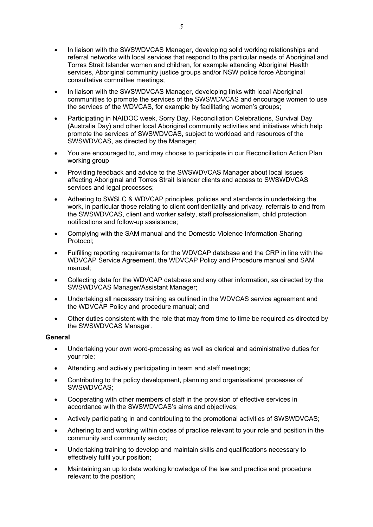- In liaison with the SWSWDVCAS Manager, developing solid working relationships and referral networks with local services that respond to the particular needs of Aboriginal and Torres Strait Islander women and children, for example attending Aboriginal Health services, Aboriginal community justice groups and/or NSW police force Aboriginal consultative committee meetings;
- In liaison with the SWSWDVCAS Manager, developing links with local Aboriginal communities to promote the services of the SWSWDVCAS and encourage women to use the services of the WDVCAS, for example by facilitating women's groups;
- Participating in NAIDOC week, Sorry Day, Reconciliation Celebrations, Survival Day (Australia Day) and other local Aboriginal community activities and initiatives which help promote the services of SWSWDVCAS, subject to workload and resources of the SWSWDVCAS, as directed by the Manager;
- You are encouraged to, and may choose to participate in our Reconciliation Action Plan working group
- Providing feedback and advice to the SWSWDVCAS Manager about local issues affecting Aboriginal and Torres Strait Islander clients and access to SWSWDVCAS services and legal processes:
- Adhering to SWSLC & WDVCAP principles, policies and standards in undertaking the work, in particular those relating to client confidentiality and privacy, referrals to and from the SWSWDVCAS, client and worker safety, staff professionalism, child protection notifications and follow-up assistance;
- Complying with the SAM manual and the Domestic Violence Information Sharing Protocol;
- Fulfilling reporting requirements for the WDVCAP database and the CRP in line with the WDVCAP Service Agreement, the WDVCAP Policy and Procedure manual and SAM manual;
- Collecting data for the WDVCAP database and any other information, as directed by the SWSWDVCAS Manager/Assistant Manager;
- Undertaking all necessary training as outlined in the WDVCAS service agreement and the WDVCAP Policy and procedure manual; and
- Other duties consistent with the role that may from time to time be required as directed by the SWSWDVCAS Manager.

## **General**

- Undertaking your own word-processing as well as clerical and administrative duties for your role;
- Attending and actively participating in team and staff meetings;
- Contributing to the policy development, planning and organisational processes of SWSWDVCAS;
- Cooperating with other members of staff in the provision of effective services in accordance with the SWSWDVCAS's aims and objectives;
- Actively participating in and contributing to the promotional activities of SWSWDVCAS;
- Adhering to and working within codes of practice relevant to your role and position in the community and community sector;
- Undertaking training to develop and maintain skills and qualifications necessary to effectively fulfil your position;
- Maintaining an up to date working knowledge of the law and practice and procedure relevant to the position;